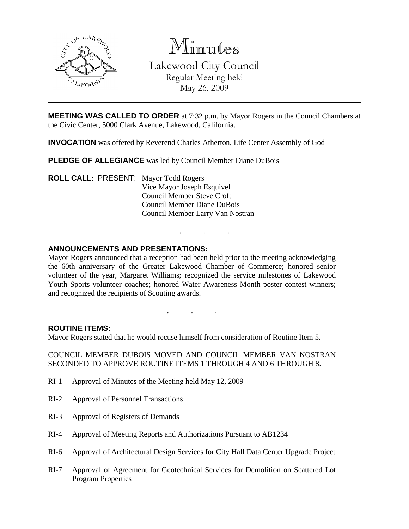

Minutes

Lakewood City Council Regular Meeting held

May 26, 2009

**MEETING WAS CALLED TO ORDER** at 7:32 p.m. by Mayor Rogers in the Council Chambers at the Civic Center, 5000 Clark Avenue, Lakewood, California.

**INVOCATION** was offered by Reverend Charles Atherton, Life Center Assembly of God

**PLEDGE OF ALLEGIANCE** was led by Council Member Diane DuBois

**ROLL CALL**: PRESENT: Mayor Todd Rogers Vice Mayor Joseph Esquivel Council Member Steve Croft Council Member Diane DuBois Council Member Larry Van Nostran

## **ANNOUNCEMENTS AND PRESENTATIONS:**

Mayor Rogers announced that a reception had been held prior to the meeting acknowledging the 60th anniversary of the Greater Lakewood Chamber of Commerce; honored senior volunteer of the year, Margaret Williams; recognized the service milestones of Lakewood Youth Sports volunteer coaches; honored Water Awareness Month poster contest winners; and recognized the recipients of Scouting awards.

. . .

. . .

## **ROUTINE ITEMS:**

Mayor Rogers stated that he would recuse himself from consideration of Routine Item 5.

COUNCIL MEMBER DUBOIS MOVED AND COUNCIL MEMBER VAN NOSTRAN SECONDED TO APPROVE ROUTINE ITEMS 1 THROUGH 4 AND 6 THROUGH 8.

- RI-1 Approval of Minutes of the Meeting held May 12, 2009
- RI-2 Approval of Personnel Transactions
- RI-3 Approval of Registers of Demands
- RI-4 Approval of Meeting Reports and Authorizations Pursuant to AB1234
- RI-6 Approval of Architectural Design Services for City Hall Data Center Upgrade Project
- RI-7 Approval of Agreement for Geotechnical Services for Demolition on Scattered Lot Program Properties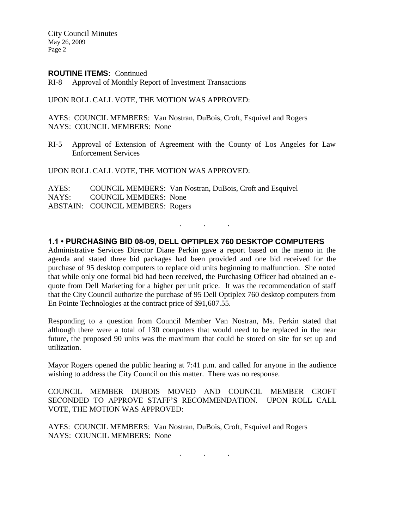City Council Minutes May 26, 2009 Page 2

#### **ROUTINE ITEMS:** Continued

RI-8 Approval of Monthly Report of Investment Transactions

UPON ROLL CALL VOTE, THE MOTION WAS APPROVED:

AYES: COUNCIL MEMBERS: Van Nostran, DuBois, Croft, Esquivel and Rogers NAYS: COUNCIL MEMBERS: None

RI-5 Approval of Extension of Agreement with the County of Los Angeles for Law Enforcement Services

UPON ROLL CALL VOTE, THE MOTION WAS APPROVED:

AYES: COUNCIL MEMBERS: Van Nostran, DuBois, Croft and Esquivel NAYS: COUNCIL MEMBERS: None ABSTAIN: COUNCIL MEMBERS: Rogers

#### **1.1 • PURCHASING BID 08-09, DELL OPTIPLEX 760 DESKTOP COMPUTERS**

. . .

Administrative Services Director Diane Perkin gave a report based on the memo in the agenda and stated three bid packages had been provided and one bid received for the purchase of 95 desktop computers to replace old units beginning to malfunction. She noted that while only one formal bid had been received, the Purchasing Officer had obtained an equote from Dell Marketing for a higher per unit price. It was the recommendation of staff that the City Council authorize the purchase of 95 Dell Optiplex 760 desktop computers from En Pointe Technologies at the contract price of \$91,607.55.

Responding to a question from Council Member Van Nostran, Ms. Perkin stated that although there were a total of 130 computers that would need to be replaced in the near future, the proposed 90 units was the maximum that could be stored on site for set up and utilization.

Mayor Rogers opened the public hearing at 7:41 p.m. and called for anyone in the audience wishing to address the City Council on this matter. There was no response.

COUNCIL MEMBER DUBOIS MOVED AND COUNCIL MEMBER CROFT SECONDED TO APPROVE STAFF'S RECOMMENDATION. UPON ROLL CALL VOTE, THE MOTION WAS APPROVED:

AYES: COUNCIL MEMBERS: Van Nostran, DuBois, Croft, Esquivel and Rogers NAYS: COUNCIL MEMBERS: None

. . .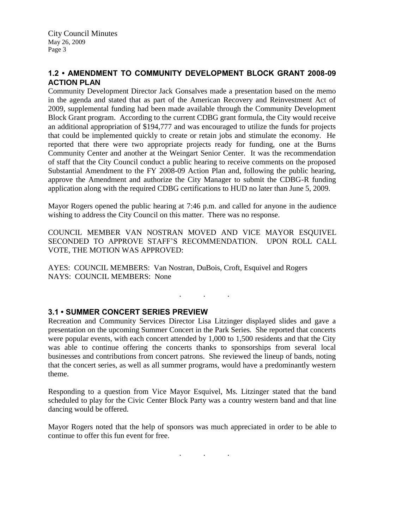## **1.2 • AMENDMENT TO COMMUNITY DEVELOPMENT BLOCK GRANT 2008-09 ACTION PLAN**

Community Development Director Jack Gonsalves made a presentation based on the memo in the agenda and stated that as part of the American Recovery and Reinvestment Act of 2009, supplemental funding had been made available through the Community Development Block Grant program. According to the current CDBG grant formula, the City would receive an additional appropriation of \$194,777 and was encouraged to utilize the funds for projects that could be implemented quickly to create or retain jobs and stimulate the economy. He reported that there were two appropriate projects ready for funding, one at the Burns Community Center and another at the Weingart Senior Center. It was the recommendation of staff that the City Council conduct a public hearing to receive comments on the proposed Substantial Amendment to the FY 2008-09 Action Plan and, following the public hearing, approve the Amendment and authorize the City Manager to submit the CDBG-R funding application along with the required CDBG certifications to HUD no later than June 5, 2009.

Mayor Rogers opened the public hearing at 7:46 p.m. and called for anyone in the audience wishing to address the City Council on this matter. There was no response.

COUNCIL MEMBER VAN NOSTRAN MOVED AND VICE MAYOR ESQUIVEL SECONDED TO APPROVE STAFF'S RECOMMENDATION. UPON ROLL CALL VOTE, THE MOTION WAS APPROVED:

. . .

AYES: COUNCIL MEMBERS: Van Nostran, DuBois, Croft, Esquivel and Rogers NAYS: COUNCIL MEMBERS: None

# **3.1 • SUMMER CONCERT SERIES PREVIEW**

Recreation and Community Services Director Lisa Litzinger displayed slides and gave a presentation on the upcoming Summer Concert in the Park Series. She reported that concerts were popular events, with each concert attended by 1,000 to 1,500 residents and that the City was able to continue offering the concerts thanks to sponsorships from several local businesses and contributions from concert patrons. She reviewed the lineup of bands, noting that the concert series, as well as all summer programs, would have a predominantly western theme.

Responding to a question from Vice Mayor Esquivel, Ms. Litzinger stated that the band scheduled to play for the Civic Center Block Party was a country western band and that line dancing would be offered.

Mayor Rogers noted that the help of sponsors was much appreciated in order to be able to continue to offer this fun event for free.

. . .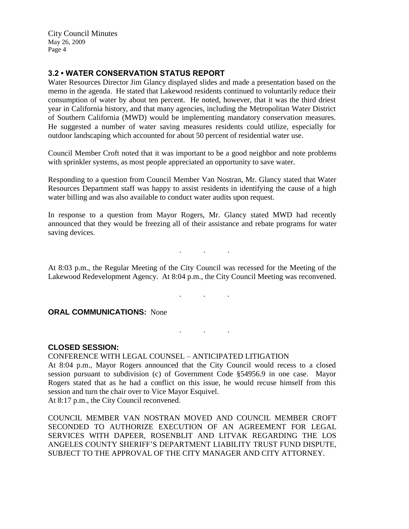City Council Minutes May 26, 2009 Page 4

## **3.2 • WATER CONSERVATION STATUS REPORT**

Water Resources Director Jim Glancy displayed slides and made a presentation based on the memo in the agenda. He stated that Lakewood residents continued to voluntarily reduce their consumption of water by about ten percent. He noted, however, that it was the third driest year in California history, and that many agencies, including the Metropolitan Water District of Southern California (MWD) would be implementing mandatory conservation measures. He suggested a number of water saving measures residents could utilize, especially for outdoor landscaping which accounted for about 50 percent of residential water use.

Council Member Croft noted that it was important to be a good neighbor and note problems with sprinkler systems, as most people appreciated an opportunity to save water.

Responding to a question from Council Member Van Nostran, Mr. Glancy stated that Water Resources Department staff was happy to assist residents in identifying the cause of a high water billing and was also available to conduct water audits upon request.

In response to a question from Mayor Rogers, Mr. Glancy stated MWD had recently announced that they would be freezing all of their assistance and rebate programs for water saving devices.

. . .

At 8:03 p.m., the Regular Meeting of the City Council was recessed for the Meeting of the Lakewood Redevelopment Agency. At 8:04 p.m., the City Council Meeting was reconvened.

#### . . .

. . .

#### **ORAL COMMUNICATIONS:** None

**CLOSED SESSION:**

CONFERENCE WITH LEGAL COUNSEL – ANTICIPATED LITIGATION At 8:04 p.m., Mayor Rogers announced that the City Council would recess to a closed session pursuant to subdivision (c) of Government Code §54956.9 in one case. Mayor Rogers stated that as he had a conflict on this issue, he would recuse himself from this session and turn the chair over to Vice Mayor Esquivel. At 8:17 p.m., the City Council reconvened.

COUNCIL MEMBER VAN NOSTRAN MOVED AND COUNCIL MEMBER CROFT SECONDED TO AUTHORIZE EXECUTION OF AN AGREEMENT FOR LEGAL SERVICES WITH DAPEER, ROSENBLIT AND LITVAK REGARDING THE LOS ANGELES COUNTY SHERIFF'S DEPARTMENT LIABILITY TRUST FUND DISPUTE, SUBJECT TO THE APPROVAL OF THE CITY MANAGER AND CITY ATTORNEY.